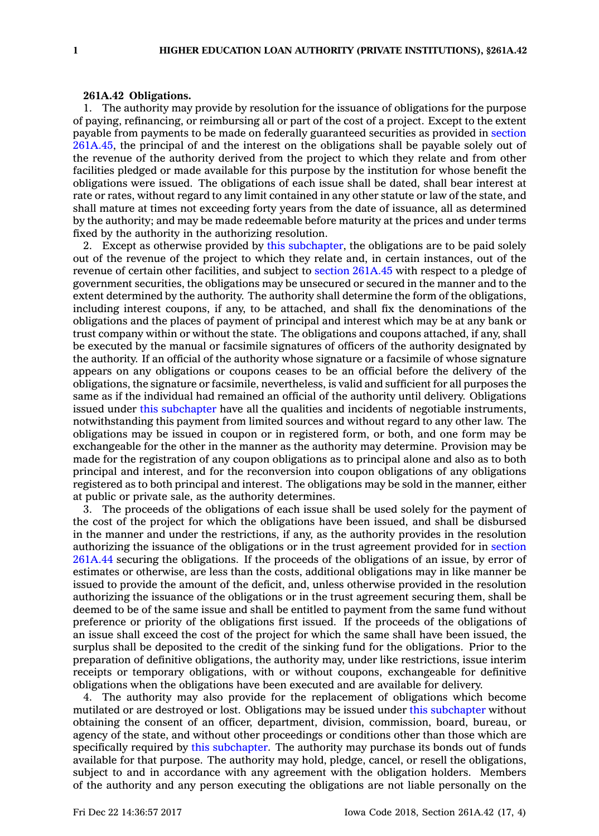## **261A.42 Obligations.**

1. The authority may provide by resolution for the issuance of obligations for the purpose of paying, refinancing, or reimbursing all or part of the cost of <sup>a</sup> project. Except to the extent payable from payments to be made on federally guaranteed securities as provided in [section](https://www.legis.iowa.gov/docs/code/261A.45.pdf) [261A.45](https://www.legis.iowa.gov/docs/code/261A.45.pdf), the principal of and the interest on the obligations shall be payable solely out of the revenue of the authority derived from the project to which they relate and from other facilities pledged or made available for this purpose by the institution for whose benefit the obligations were issued. The obligations of each issue shall be dated, shall bear interest at rate or rates, without regard to any limit contained in any other statute or law of the state, and shall mature at times not exceeding forty years from the date of issuance, all as determined by the authority; and may be made redeemable before maturity at the prices and under terms fixed by the authority in the authorizing resolution.

2. Except as otherwise provided by this [subchapter](https://www.legis.iowa.gov/docs/code//261A.pdf), the obligations are to be paid solely out of the revenue of the project to which they relate and, in certain instances, out of the revenue of certain other facilities, and subject to section [261A.45](https://www.legis.iowa.gov/docs/code/261A.45.pdf) with respect to <sup>a</sup> pledge of government securities, the obligations may be unsecured or secured in the manner and to the extent determined by the authority. The authority shall determine the form of the obligations, including interest coupons, if any, to be attached, and shall fix the denominations of the obligations and the places of payment of principal and interest which may be at any bank or trust company within or without the state. The obligations and coupons attached, if any, shall be executed by the manual or facsimile signatures of officers of the authority designated by the authority. If an official of the authority whose signature or <sup>a</sup> facsimile of whose signature appears on any obligations or coupons ceases to be an official before the delivery of the obligations, the signature or facsimile, nevertheless, is valid and sufficient for all purposes the same as if the individual had remained an official of the authority until delivery. Obligations issued under this [subchapter](https://www.legis.iowa.gov/docs/code//261A.pdf) have all the qualities and incidents of negotiable instruments, notwithstanding this payment from limited sources and without regard to any other law. The obligations may be issued in coupon or in registered form, or both, and one form may be exchangeable for the other in the manner as the authority may determine. Provision may be made for the registration of any coupon obligations as to principal alone and also as to both principal and interest, and for the reconversion into coupon obligations of any obligations registered as to both principal and interest. The obligations may be sold in the manner, either at public or private sale, as the authority determines.

3. The proceeds of the obligations of each issue shall be used solely for the payment of the cost of the project for which the obligations have been issued, and shall be disbursed in the manner and under the restrictions, if any, as the authority provides in the resolution authorizing the issuance of the obligations or in the trust agreement provided for in [section](https://www.legis.iowa.gov/docs/code/261A.44.pdf) [261A.44](https://www.legis.iowa.gov/docs/code/261A.44.pdf) securing the obligations. If the proceeds of the obligations of an issue, by error of estimates or otherwise, are less than the costs, additional obligations may in like manner be issued to provide the amount of the deficit, and, unless otherwise provided in the resolution authorizing the issuance of the obligations or in the trust agreement securing them, shall be deemed to be of the same issue and shall be entitled to payment from the same fund without preference or priority of the obligations first issued. If the proceeds of the obligations of an issue shall exceed the cost of the project for which the same shall have been issued, the surplus shall be deposited to the credit of the sinking fund for the obligations. Prior to the preparation of definitive obligations, the authority may, under like restrictions, issue interim receipts or temporary obligations, with or without coupons, exchangeable for definitive obligations when the obligations have been executed and are available for delivery.

4. The authority may also provide for the replacement of obligations which become mutilated or are destroyed or lost. Obligations may be issued under this [subchapter](https://www.legis.iowa.gov/docs/code//261A.pdf) without obtaining the consent of an officer, department, division, commission, board, bureau, or agency of the state, and without other proceedings or conditions other than those which are specifically required by this [subchapter](https://www.legis.iowa.gov/docs/code//261A.pdf). The authority may purchase its bonds out of funds available for that purpose. The authority may hold, pledge, cancel, or resell the obligations, subject to and in accordance with any agreement with the obligation holders. Members of the authority and any person executing the obligations are not liable personally on the